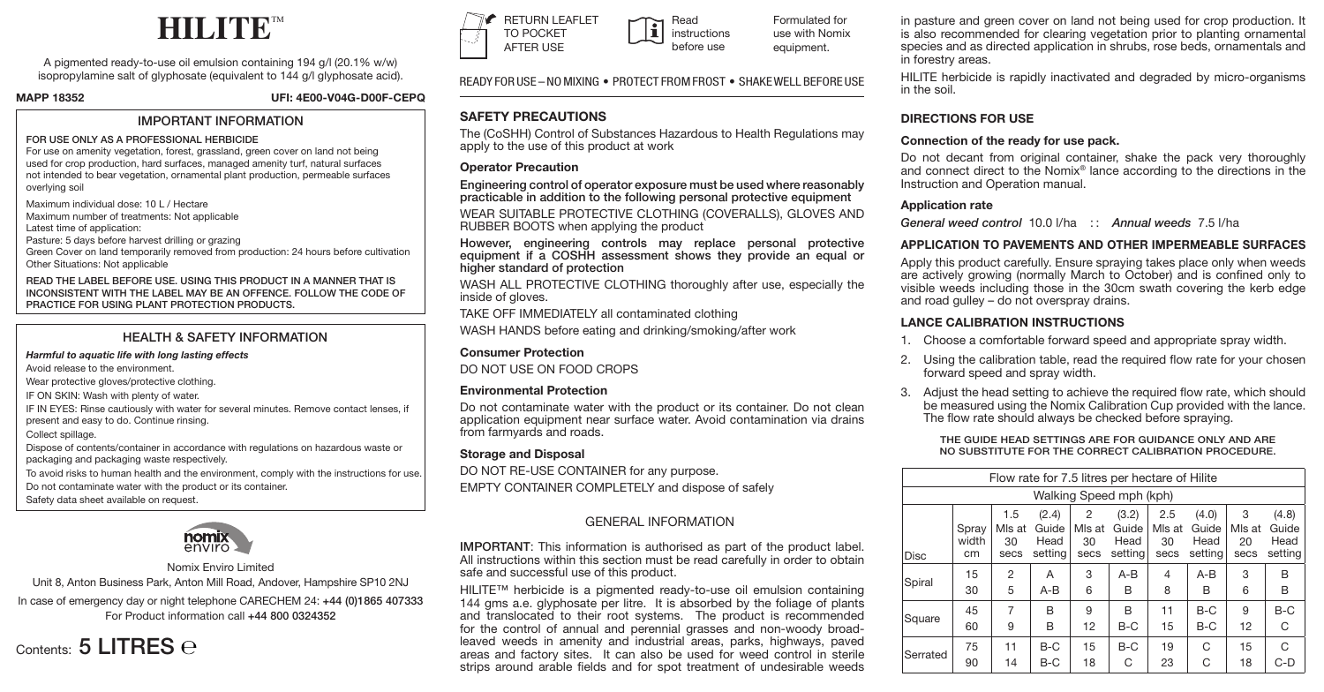

A pigmented ready-to-use oil emulsion containing 194 g/l (20.1% w/w) isopropylamine salt of glyphosate (equivalent to 144 g/l glyphosate acid).

**MAPP 18352 UFI: 4E00-V04G-D00F-CEPQ**

## IMPORTANT INFORMATION

### FOR USE ONLY AS A PROFESSIONAL HERBICIDE

For use on amenity vegetation, forest, grassland, green cover on land not being used for crop production, hard surfaces, managed amenity turf, natural surfaces not intended to bear vegetation, ornamental plant production, permeable surfaces overlying soil

Maximum individual dose: 10 L / Hectare

Maximum number of treatments: Not applicable

Latest time of application:

Pasture: 5 days before harvest drilling or grazing

Green Cover on land temporarily removed from production: 24 hours before cultivation Other Situations: Not applicable

READ THE LABEL BEFORE USE. USING THIS PRODUCT IN A MANNER THAT IS INCONSISTENT WITH THE LABEL MAY BE AN OFFENCE. FOLLOW THE CODE OF PRACTICE FOR USING PLANT PROTECTION PRODUCTS.

## HEALTH & SAFFTY INFORMATION

### *Harmful to aquatic life with long lasting effects*

Avoid release to the environment.

Wear protective gloves/protective clothing.

IF ON SKIN: Wash with plenty of water.

IF IN EYES: Rinse cautiously with water for several minutes. Remove contact lenses, if present and easy to do. Continue rinsing.

Collect spillage.

Dispose of contents/container in accordance with regulations on hazardous waste or packaging and packaging waste respectively.

To avoid risks to human health and the environment, comply with the instructions for use.

Do not contaminate water with the product or its container.

Safety data sheet available on request.



## Nomix Enviro Limited

Unit 8, Anton Business Park, Anton Mill Road, Andover, Hampshire SP10 2NJ

In case of emergency day or night telephone CARECHEM 24: +44 (0)1865 407333 For Product information call +44 800 0324352





Formulated for use with Nomix equipment. instructions before use

READY FOR USE – NO MIXING • PROTECT FROM FROST • SHAKE WELL BEFORE USE

Read

## **SAFETY PRECAUTIONS**

apply to the use of this product at work

## **Operator Precaution**

Engineering control of operator exposure must be used where reasonably practicable in addition to the following personal protective equipment

WEAR SUITABLE PROTECTIVE CLOTHING (COVERALLS), GLOVES AND RUBBER BOOTS when applying the product

However, engineering controls may replace personal protective equipment if a COSHH assessment shows they provide an equal or higher standard of protection

WASH ALL PROTECTIVE CLOTHING thoroughly after use, especially the inside of gloves.

TAKE OFF IMMEDIATELY all contaminated clothing

WASH HANDS before eating and drinking/smoking/after work

## **Consumer Protection**

DO NOT USE ON FOOD CROPS

## **Environmental Protection**

Do not contaminate water with the product or its container. Do not clean application equipment near surface water. Avoid contamination via drains from farmyards and roads.

## **Storage and Disposal**

DO NOT RE-USE CONTAINER for any purpose. EMPTY CONTAINER COMPLETELY and dispose of safely

## GENERAL INFORMATION

IMPORTANT: This information is authorised as part of the product label. All instructions within this section must be read carefully in order to obtain safe and successful use of this product.

HILITE™ herbicide is a pigmented ready-to-use oil emulsion containing 144 gms a.e. glyphosate per litre. It is absorbed by the foliage of plants and translocated to their root systems. The product is recommended for the control of annual and perennial grasses and non-woody broadleaved weeds in amenity and industrial areas, parks, highways, paved areas and factory sites. It can also be used for weed control in sterile strips around arable fields and for spot treatment of undesirable weeds

in pasture and green cover on land not being used for crop production. It is also recommended for clearing vegetation prior to planting ornamental species and as directed application in shrubs, rose beds, ornamentals and in forestry areas.

HILITE herbicide is rapidly inactivated and degraded by micro-organisms in the soil.

## **DIRECTIONS FOR USE**

## **Connection of the ready for use pack.**

Do not decant from original container, shake the pack very thoroughly and connect direct to the Nomix® lance according to the directions in the Instruction and Operation manual.

## **Application rate**

*General weed control* 10.0 l/ha : : *Annual weeds* 7.5 l/ha

## **APPLICATION TO PAVEMENTS AND OTHER IMPERMEABLE SURFACES**

Apply this product carefully. Ensure spraying takes place only when weeds are actively growing (normally March to October) and is confined only to visible weeds including those in the 30cm swath covering the kerb edge and road gulley – do not overspray drains.

## **LANCE CALIBRATION INSTRUCTIONS**

- 1. Choose a comfortable forward speed and appropriate spray width.
- Dispose of contents and container in accordance with regulations on 2. Using the calibration table, read the required flow rate for your chosen forward speed and spray width.
- 3. Adjust the head setting to achieve the required flow rate, which should be measured using the Nomix Calibration Cup provided with the lance. The flow rate should always be checked before spraying.

THE GUIDE HEAD SETTINGS ARE FOR GUIDANCE ONLY AND ARE NO SUBSTITUTE FOR THE CORRECT CALIBRATION PROCEDURE.

| Flow rate for 7.5 litres per hectare of Hilite |                      |                             |                                   |                           |                                   |                             |                                   |                           |                                   |  |  |  |
|------------------------------------------------|----------------------|-----------------------------|-----------------------------------|---------------------------|-----------------------------------|-----------------------------|-----------------------------------|---------------------------|-----------------------------------|--|--|--|
| Walking Speed mph (kph)                        |                      |                             |                                   |                           |                                   |                             |                                   |                           |                                   |  |  |  |
| Disc                                           | Spray<br>width<br>cm | 1.5<br>Mls at<br>30<br>secs | (2.4)<br>Guide<br>Head<br>setting | 2<br>Mls at<br>30<br>secs | (3.2)<br>Guide<br>Head<br>setting | 2.5<br>Mls at<br>30<br>secs | (4.0)<br>Guide<br>Head<br>settina | 3<br>Mls at<br>20<br>secs | (4.8)<br>Guide<br>Head<br>setting |  |  |  |
| Spiral                                         | 15<br>30             | 2<br>5                      | A<br>$A-B$                        | 3<br>6                    | $A-B$<br>B                        | $\overline{4}$<br>8         | $A-B$<br>в                        | 3<br>6                    | B<br>B                            |  |  |  |
| Square                                         | 45<br>60             | 7<br>9                      | B<br>B                            | 9<br>12                   | B<br>$B-C$                        | 11<br>15                    | $B-C$<br>$B-C$                    | 9<br>12                   | $B-C$<br>C                        |  |  |  |
| Serrated                                       | 75<br>90             | 11<br>14                    | $B-C$<br>$B-C$                    | 15<br>18                  | $B-C$<br>C                        | 19<br>23                    | C<br>C                            | 15<br>18                  | C<br>$C-D$                        |  |  |  |

The (CoSHH) Control of Substances Hazardous to Health Regulations may